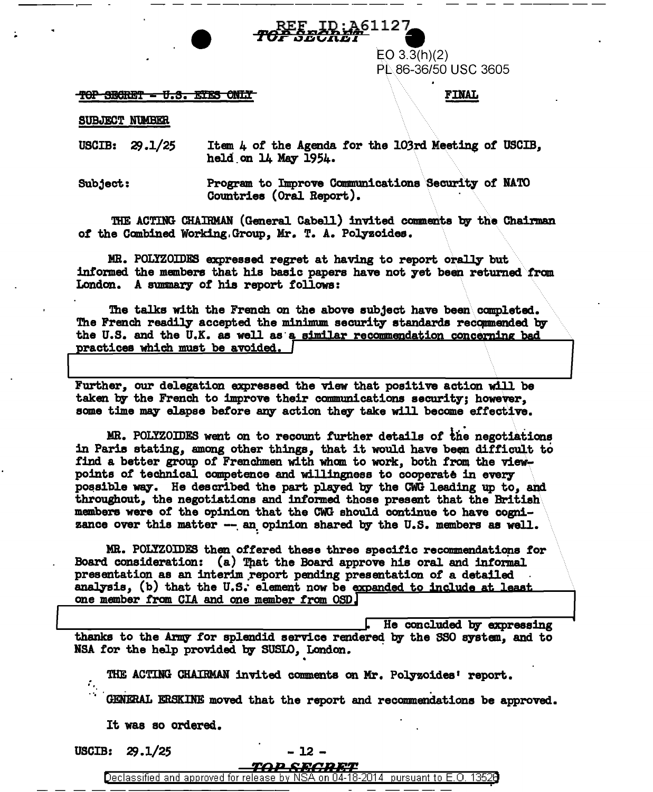ID:A61127

 $EO 3.3(h)(2)$ PL 86-36/50 USC 3605

TOP SECRET - U.S. ETES ONLY

## **FINAL**

SUBJECT NUMBER

Item 4 of the Agenda for the 103rd Meeting of USCIB. USCIB:  $29.1/25$ held on 14 May 1954.

Program to Improve Communications Security of NATO Subject: Countries (Oral Report).

THE ACTING CHAIRMAN (General Cabell) invited comments by the Chairman of the Combined Working. Group, Mr. T. A. Polyzoides.

MR. POLYZOIDES expressed regret at having to report orally but informed the members that his basic papers have not yet been returned from London. A summary of his report follows:

The talks with the French on the above subject have been completed. The French readily accepted the minimum security standards recommended by the U.S. and the U.K. as well as a similar recommendation concerning bad practices which must be avoided.

Further, our delegation expressed the view that positive action will be taken by the French to improve their communications security; however, some time may elapse before any action they take will become effective.

MR. POLYZOIDES went on to recount further details of the negotiations in Paris stating, among other things, that it would have been difficult to find a better group of Frenchmen with whom to work, both from the viewpoints of technical competence and willingness to cooperate in every possible way. He described the part played by the CWG leading up to, and throughout, the negotiations and informed those present that the British members were of the opinion that the CWG should continue to have cognizance over this matter -- an opinion shared by the U.S. members as well.

MR. POLYZOIDES then offered these three specific recommendations for Board consideration: (a) That the Board approve his oral and informal presentation as an interim report pending presentation of a detailed analysis, (b) that the U.S. element now be expanded to include at least one member from CIA and one member from OSD.

He concluded by expressing thanks to the Army for splendid service rendered by the SSO system, and to NSA for the help provided by SUSLO, London.

THE ACTING CHAIRMAN invited comments on Mr. Polyzoides' report.

GENERAL ERSKINE moved that the report and recommendations be approved.

It was so ordered.

USCIB:  $29.1/25$ 

Ϋ,

- 12 -

TOP SECRET Declassified and approved for release by NSA on 04-18-2014 pursuant to E.O. 13526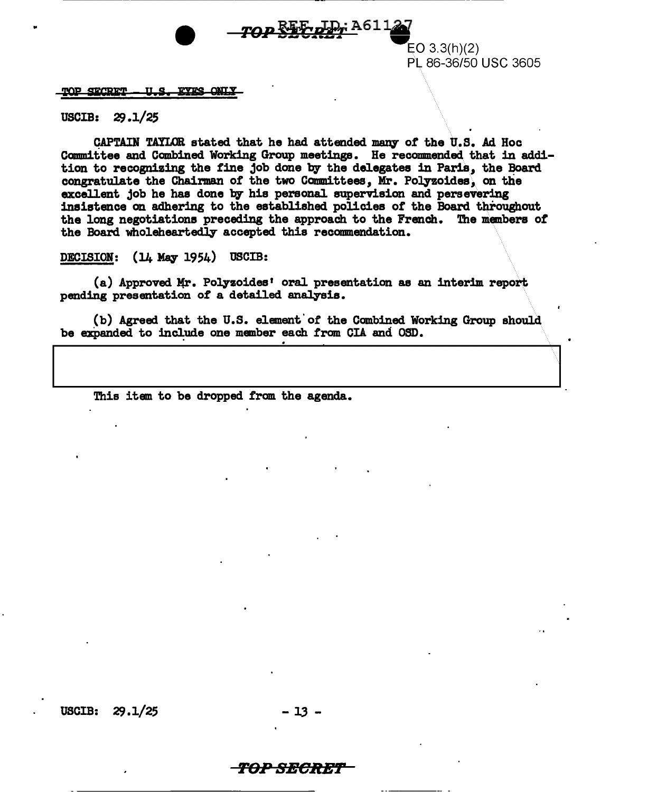

EO 3.3(h)(2) PL 86-36/50 USC 3605

## $\frac{\text{VOP}}{\text{SGRET}} - \text{U.S. EYES ONLX}$

USCIB:  $29.1/25$ 

CAPTAIN TAYLOR stated that he had attended many of the U.S. Ad Hoc Committee and Combined Working Group meetings. He recommended. that in addition to recognizing the tine job done by the delegates in Paris, the Board congratulate the Chairman of the two Committees, Mr. Polyzoides, on the excellent job he has done by his personal supervision and persevering insistence on adhering to the established policies *ot* the Board throughout the long negotiations preceding the approach to the French. The members of the Board wholeheartedly accepted this recommendation.

DECISION:  $(14$  May 1954) USCIB:

(a) Approved Mr. Polyzoides' oral presentation as an interim report pending presentation of a detailed analysis.

(b) Agreed that the U.S. element' or the Combined Working Group should be expanded to include one member each from CIA and OSD.

This item to be dropped from the agenda.

USCIB:  $29.1/25$  - 13

## 'FBI> SECRE?'